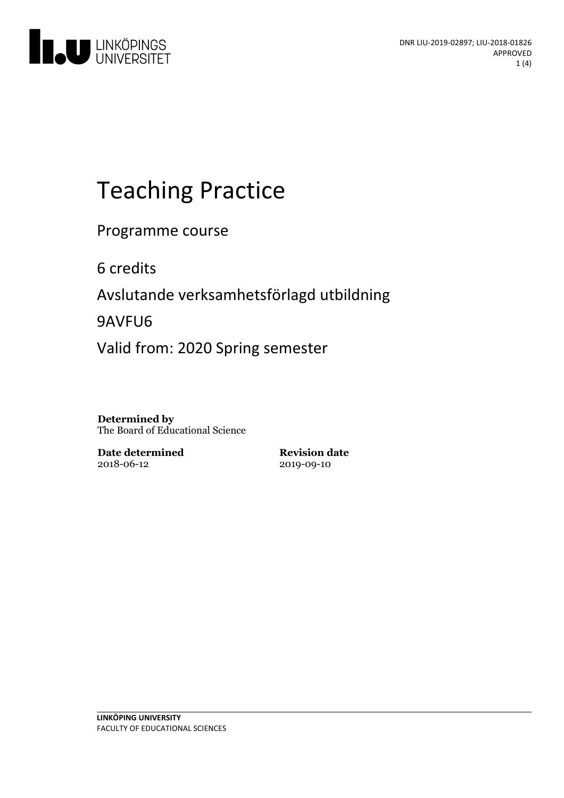

# Teaching Practice

Programme course

6 credits

Avslutande verksamhetsförlagd utbildning

9AVFU6

Valid from: 2020 Spring semester

**Determined by** The Board of Educational Science

**Date determined** 2018-06-12

**Revision date** 2019-09-10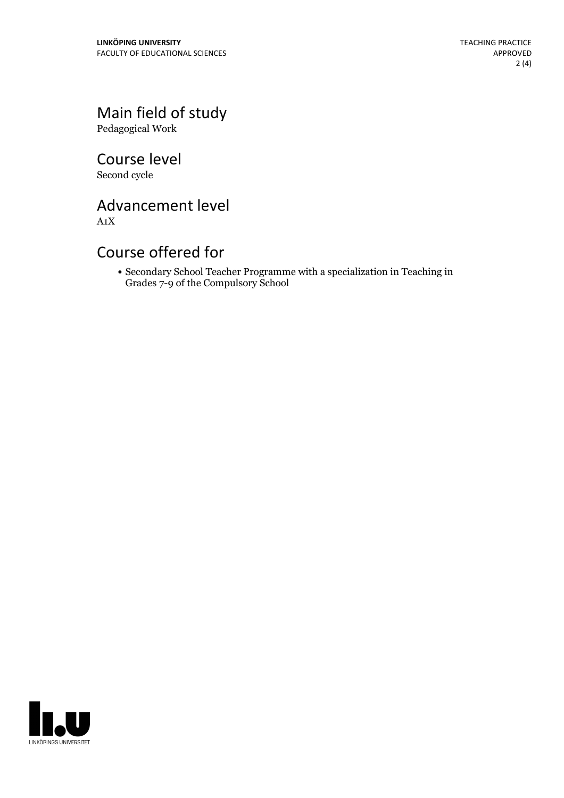Main field of study Pedagogical Work

Course level Second cycle

Advancement level

A1X

## Course offered for

Secondary School Teacher Programme with a specialization in Teaching in Grades 7-9 of the Compulsory School

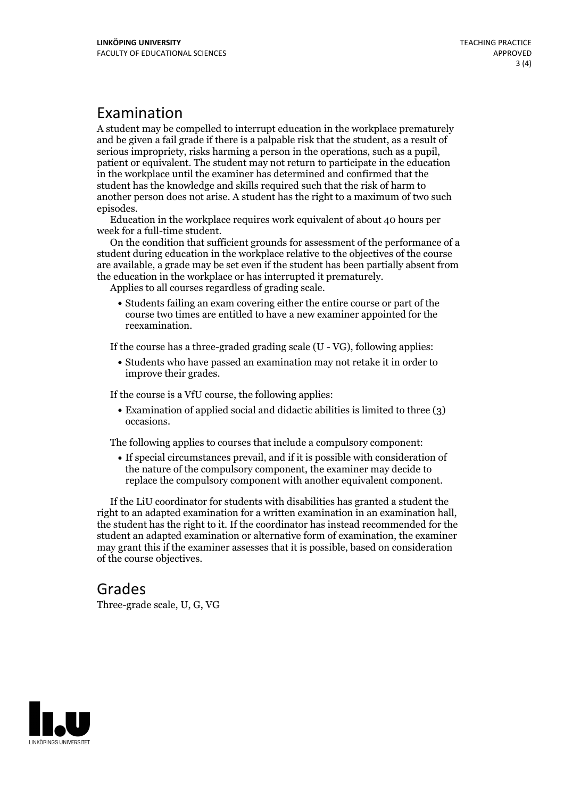# Examination

A student may be compelled to interrupt education in the workplace prematurely and be given a failgrade if there is a palpable risk that the student, as a result of serious impropriety, risks harming <sup>a</sup> person in the operations, such as <sup>a</sup> pupil, patient or equivalent. The student may not return to participate in the education in the workplace until the examiner has determined and confirmed that the student has the knowledge and skills required such that the risk of harm to another person does not arise. A student has the right to a maximum of two such

episodes. Education in the workplace requires work equivalent of about <sup>40</sup> hours per

week for <sup>a</sup> full-time student. On the condition that sufficient grounds for assessment of the performance of <sup>a</sup> student during education in the workplace relative to the objectives of the course are available, a grade may be set even if the student has been partially absent from the education in the workplace or has interrupted it prematurely. Applies to all courses regardless of grading scale.

Students failing an exam covering either the entire course or part of the course two times are entitled to have a new examiner appointed for the reexamination.

If the course has a three-graded grading scale (U - VG), following applies:

Students who have passed an examination may not retake it in order to improve their grades.

If the course is a VfU course, the following applies:

Examination of applied social and didactic abilities is limited to three (3) occasions.

The following applies to courses that include a compulsory component:

If special circumstances prevail, and if it is possible with consideration of the nature of the compulsory component, the examiner may decide to replace the compulsory component with another equivalent component.

If the LiU coordinator for students with disabilities has granted a student the right to an adapted examination for <sup>a</sup> written examination in an examination hall, the student has the right to it. If the coordinator has instead recommended for the student an adapted examination or alternative form of examination, the examiner may grant this if the examiner assesses that it is possible, based on consideration of the course objectives.

### Grades

Three-grade scale, U, G, VG